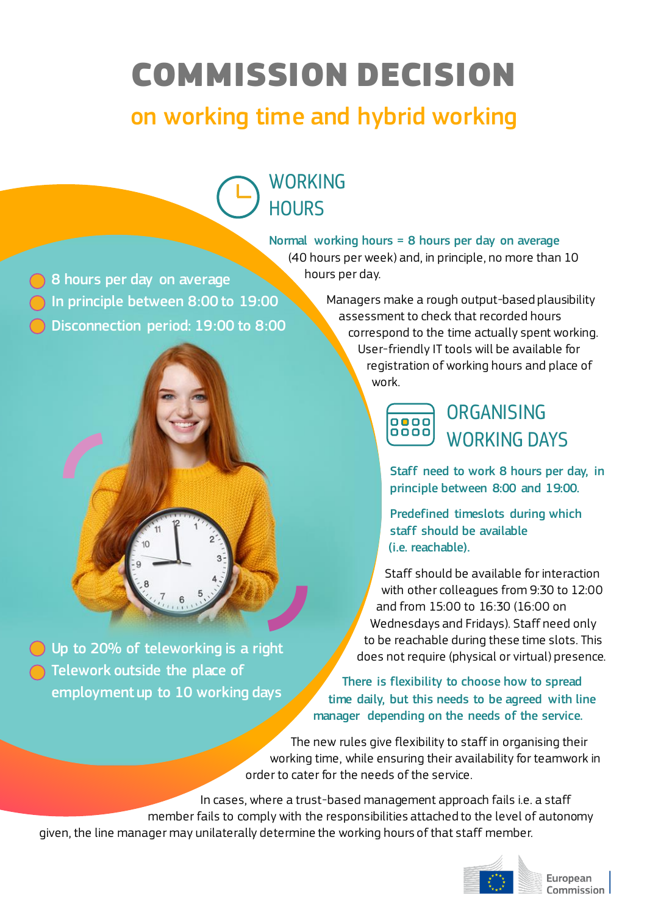# COMMISSION DECISION

## on working time and hybrid working

### WORKING **HOURS**

Normal working hours = 8 hours per day on average

(40 hours per week) and, in principle, no more than 10 hours per day.

8 hours per day on average In principle between 8:00 to 19:00 Disconnection period: 19:00 to 8:00



Up to 20% of teleworking is a right Telework outside the place of employment up to 10 working days

Managers make a rough output-based plausibility assessment to check that recorded hours correspond to the time actually spent working. User-friendly IT tools will be available for registration of working hours and place of work.



#### **ORGANISING** WORKING DAYS

Staff need to work 8 hours per day, in principle between 8:00 and 19:00.

Predefined timeslots during which staff should be available (i.e. reachable).

Staff should be available for interaction with other colleagues from 9:30 to 12:00 and from 15:00 to 16:30 (16:00 on Wednesdays and Fridays). Staff need only to be reachable during these time slots. This does not require (physical or virtual) presence.

There is flexibility to choose how to spread time daily, but this needs to be agreed with line manager depending on the needs of the service.

The new rules give flexibility to staff in organising their working time, while ensuring their availability for teamwork in order to cater for the needs of the service.

In cases, where a trust-based management approach fails i.e. a staff member fails to comply with the responsibilities attached to the level of autonomy given, the line manager may unilaterally determine the working hours of that staff member.



European Commission